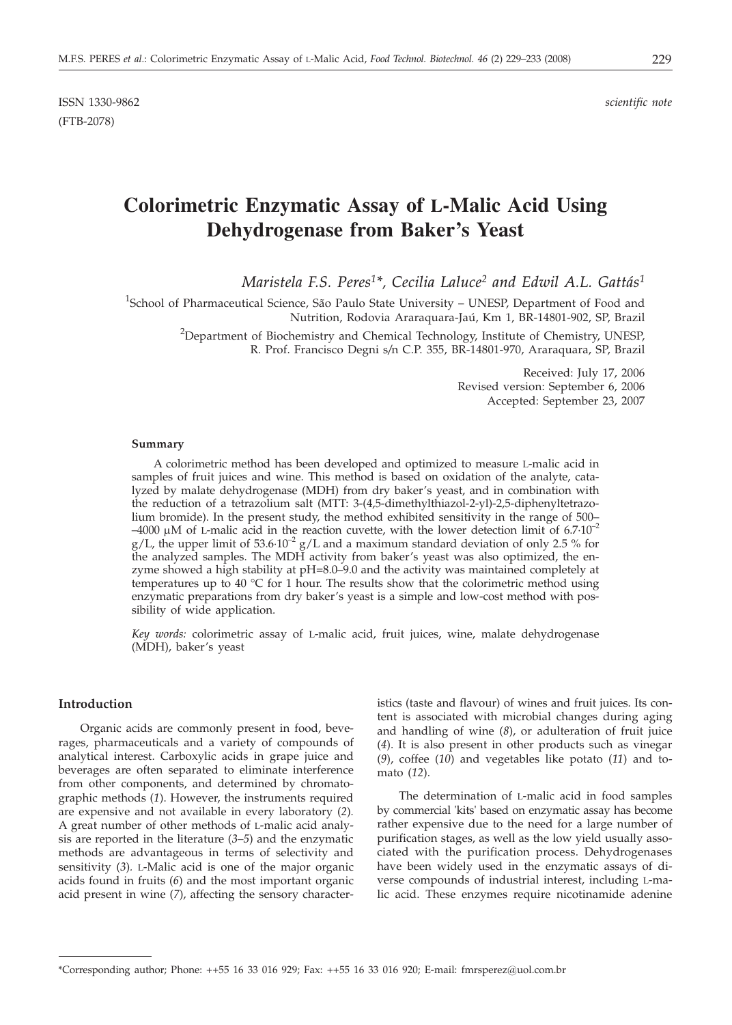ISSN 1330-9862 *scientific note* (FTB-2078)

# **Colorimetric Enzymatic Assay of L-Malic Acid Using Dehydrogenase from Baker's Yeast**

*Maristela F.S. Peres1\*, Cecilia Laluce2 and Edwil A.L. Gattás1*

<sup>1</sup>School of Pharmaceutical Science, São Paulo State University – UNESP, Department of Food and Nutrition, Rodovia Araraquara-Jaú, Km 1, BR-14801-902, SP, Brazil

<sup>2</sup>Department of Biochemistry and Chemical Technology, Institute of Chemistry, UNESP, R. Prof. Francisco Degni s*/*n C.P. 355, BR-14801-970, Araraquara, SP, Brazil

> Received: July 17, 2006 Revised version: September 6, 2006 Accepted: September 23, 2007

#### **Summary**

A colorimetric method has been developed and optimized to measure L-malic acid in samples of fruit juices and wine. This method is based on oxidation of the analyte, catalyzed by malate dehydrogenase (MDH) from dry baker's yeast, and in combination with the reduction of a tetrazolium salt (MTT: 3-(4,5-dimethylthiazol-2-yl)-2,5-diphenyltetrazolium bromide). In the present study, the method exhibited sensitivity in the range of 500–  $-4000$  µM of L-malic acid in the reaction cuvette, with the lower detection limit of 6.7 $\cdot 10^{-2}$ g/L, the upper limit of  $53.6 \cdot 10^{-2}$  g/L and a maximum standard deviation of only 2.5 % for the analyzed samples. The MDH activity from baker's yeast was also optimized, the enzyme showed a high stability at pH=8.0–9.0 and the activity was maintained completely at temperatures up to 40  $\degree$ C for 1 hour. The results show that the colorimetric method using enzymatic preparations from dry baker's yeast is a simple and low-cost method with possibility of wide application.

*Key words:* colorimetric assay of L-malic acid, fruit juices, wine, malate dehydrogenase (MDH), baker's yeast

## **Introduction**

Organic acids are commonly present in food, beverages, pharmaceuticals and a variety of compounds of analytical interest. Carboxylic acids in grape juice and beverages are often separated to eliminate interference from other components, and determined by chromatographic methods (*1*). However, the instruments required are expensive and not available in every laboratory (*2*)*.* A great number of other methods of L-malic acid analysis are reported in the literature (*3–5*) and the enzymatic methods are advantageous in terms of selectivity and sensitivity (*3*)*.* L-Malic acid is one of the major organic acids found in fruits (*6*) and the most important organic acid present in wine (*7*), affecting the sensory character-

istics (taste and flavour) of wines and fruit juices. Its content is associated with microbial changes during aging and handling of wine (*8*), or adulteration of fruit juice (*4*). It is also present in other products such as vinegar (*9*), coffee (*10*) and vegetables like potato (*11*) and tomato (*12*).

The determination of L-malic acid in food samples by commercial 'kits' based on enzymatic assay has become rather expensive due to the need for a large number of purification stages, as well as the low yield usually associated with the purification process. Dehydrogenases have been widely used in the enzymatic assays of diverse compounds of industrial interest, including L-malic acid. These enzymes require nicotinamide adenine

<sup>\*</sup>Corresponding author; Phone: ++55 16 33 016 929; Fax: ++55 16 33 016 920; E-mail: fmrsperez*@*uol.com.br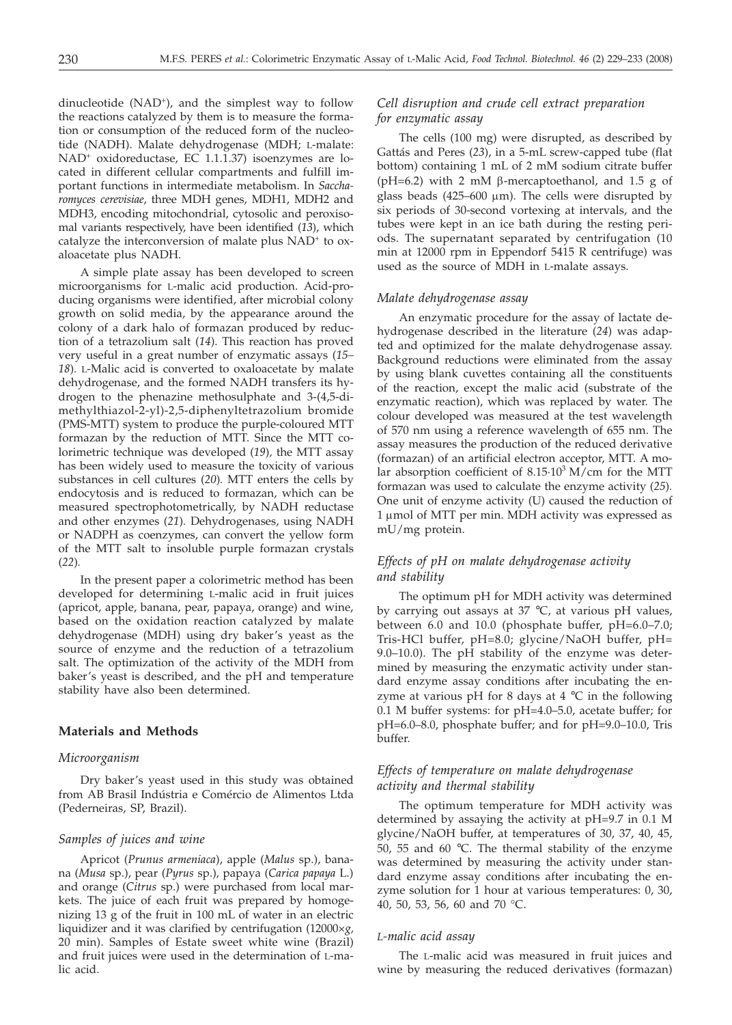dinucleotide  $(NAD<sup>+</sup>)$ , and the simplest way to follow the reactions catalyzed by them is to measure the formation or consumption of the reduced form of the nucleotide (NADH). Malate dehydrogenase (MDH; L-malate: NAD+ oxidoreductase, EC 1.1.1.37) isoenzymes are located in different cellular compartments and fulfill important functions in intermediate metabolism. In *Saccharomyces cerevisiae*, three MDH genes, MDH1, MDH2 and MDH3, encoding mitochondrial, cytosolic and peroxisomal variants respectively, have been identified (*13*), which catalyze the interconversion of malate plus NAD<sup>+</sup> to oxaloacetate plus NADH.

A simple plate assay has been developed to screen microorganisms for L-malic acid production. Acid-producing organisms were identified, after microbial colony growth on solid media, by the appearance around the colony of a dark halo of formazan produced by reduction of a tetrazolium salt (*14*). This reaction has proved very useful in a great number of enzymatic assays (*15– 18*)*.* L-Malic acid is converted to oxaloacetate by malate dehydrogenase, and the formed NADH transfers its hydrogen to the phenazine methosulphate and 3-(4,5-dimethylthiazol-2-yl)-2,5-diphenyltetrazolium bromide (PMS-MTT) system to produce the purple-coloured MTT formazan by the reduction of MTT. Since the MTT colorimetric technique was developed (*19*)*,* the MTT assay has been widely used to measure the toxicity of various substances in cell cultures (*20*)*.* MTT enters the cells by endocytosis and is reduced to formazan, which can be measured spectrophotometrically, by NADH reductase and other enzymes (*21*)*.* Dehydrogenases, using NADH or NADPH as coenzymes, can convert the yellow form of the MTT salt to insoluble purple formazan crystals (*22*)*.*

In the present paper a colorimetric method has been developed for determining L-malic acid in fruit juices (apricot, apple, banana, pear, papaya, orange) and wine, based on the oxidation reaction catalyzed by malate dehydrogenase (MDH) using dry baker's yeast as the source of enzyme and the reduction of a tetrazolium salt. The optimization of the activity of the MDH from baker's yeast is described, and the pH and temperature stability have also been determined.

#### **Materials and Methods**

#### *Microorganism*

Dry baker's yeast used in this study was obtained from AB Brasil Indústria e Comércio de Alimentos Ltda (Pederneiras, SP, Brazil).

#### *Samples of juices and wine*

Apricot (*Prunus armeniaca*), apple (*Malus* sp.), banana (*Musa* sp.), pear (*Pyrus* sp.)*,* papaya (*Carica papaya* L.) and orange (*Citrus* sp.) were purchased from local markets. The juice of each fruit was prepared by homogenizing 13 g of the fruit in 100 mL of water in an electric liquidizer and it was clarified by centrifugation (12000×*g,* 20 min). Samples of Estate sweet white wine (Brazil) and fruit juices were used in the determination of L-malic acid.

# *Cell disruption and crude cell extract preparation for enzymatic assay*

The cells (100 mg) were disrupted, as described by Gattás and Peres (*23*), in a 5-mL screw-capped tube (flat bottom) containing 1 mL of 2 mM sodium citrate buffer ( $pH=6.2$ ) with 2 mM  $\beta$ -mercaptoethanol, and 1.5 g of glass beads  $(425-600 \mu m)$ . The cells were disrupted by six periods of 30-second vortexing at intervals, and the tubes were kept in an ice bath during the resting periods. The supernatant separated by centrifugation (10 min at 12000 rpm in Eppendorf 5415 R centrifuge) was used as the source of MDH in L-malate assays.

#### *Malate dehydrogenase assay*

An enzymatic procedure for the assay of lactate dehydrogenase described in the literature (*24*) was adapted and optimized for the malate dehydrogenase assay. Background reductions were eliminated from the assay by using blank cuvettes containing all the constituents of the reaction, except the malic acid (substrate of the enzymatic reaction), which was replaced by water. The colour developed was measured at the test wavelength of 570 nm using a reference wavelength of 655 nm. The assay measures the production of the reduced derivative (formazan) of an artificial electron acceptor, MTT. A molar absorption coefficient of  $8.15 \cdot 10^3$  M/cm for the MTT formazan was used to calculate the enzyme activity (*25*)*.* One unit of enzyme activity (U) caused the reduction of 1 µmol of MTT per min. MDH activity was expressed as mU/mg protein.

# *Effects of pH on malate dehydrogenase activity and stability*

The optimum pH for MDH activity was determined by carrying out assays at 37 °C, at various pH values, between 6.0 and 10.0 (phosphate buffer, pH=6.0–7.0; Tris-HCl buffer, pH=8.0; glycine/NaOH buffer, pH= 9.0–10.0). The pH stability of the enzyme was determined by measuring the enzymatic activity under standard enzyme assay conditions after incubating the enzyme at various pH for 8 days at  $4 °C$  in the following 0.1 M buffer systems: for pH=4.0–5.0, acetate buffer; for pH=6.0–8.0, phosphate buffer; and for pH=9.0–10.0, Tris buffer.

# *Effects of temperature on malate dehydrogenase activity and thermal stability*

The optimum temperature for MDH activity was determined by assaying the activity at pH=9.7 in 0.1 M glycine/NaOH buffer, at temperatures of 30, 37, 40, 45, 50, 55 and 60 °C. The thermal stability of the enzyme was determined by measuring the activity under standard enzyme assay conditions after incubating the enzyme solution for 1 hour at various temperatures: 0, 30, 40, 50, 53, 56, 60 and 70 °C.

#### *L-malic acid assay*

The L-malic acid was measured in fruit juices and wine by measuring the reduced derivatives (formazan)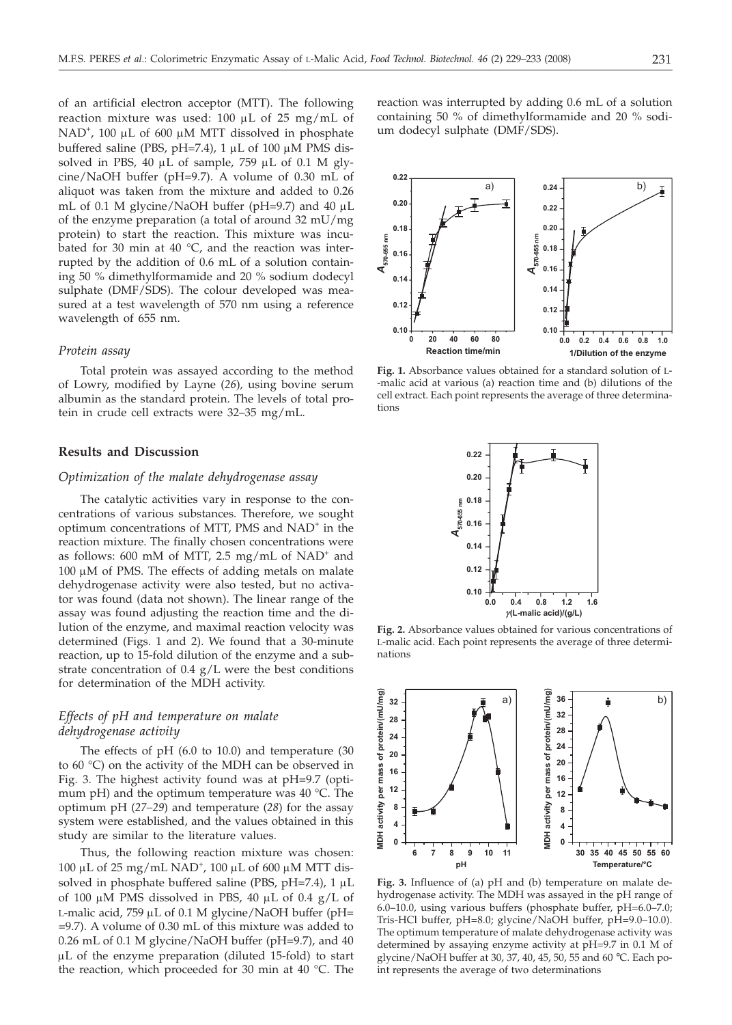of an artificial electron acceptor (MTT). The following reaction mixture was used:  $100 \mu L$  of  $25 \text{ mg/mL}$  of NAD<sup>+</sup>, 100 µL of 600 µM MTT dissolved in phosphate buffered saline (PBS, pH=7.4),  $1 \mu$ L of 100  $\mu$ M PMS dissolved in PBS, 40  $\mu$ L of sample, 759  $\mu$ L of 0.1 M glycine/NaOH buffer (pH=9.7). A volume of 0.30 mL of aliquot was taken from the mixture and added to 0.26 mL of 0.1 M glycine/NaOH buffer (pH=9.7) and 40  $\mu$ L of the enzyme preparation (a total of around 32 mU/mg protein) to start the reaction. This mixture was incubated for 30 min at 40  $^{\circ}$ C, and the reaction was interrupted by the addition of 0.6 mL of a solution containing 50 % dimethylformamide and 20 % sodium dodecyl sulphate (DMF/SDS). The colour developed was measured at a test wavelength of 570 nm using a reference wavelength of 655 nm.

#### *Protein assay*

Total protein was assayed according to the method of Lowry, modified by Layne (*26*)*,* using bovine serum albumin as the standard protein. The levels of total protein in crude cell extracts were 32–35 mg/mL.

## **Results and Discussion**

## *Optimization of the malate dehydrogenase assay*

The catalytic activities vary in response to the concentrations of various substances. Therefore, we sought optimum concentrations of MTT, PMS and NAD<sup>+</sup> in the reaction mixture. The finally chosen concentrations were as follows: 600 mM of MTT, 2.5 mg/mL of  $NAD^+$  and  $100 \mu M$  of PMS. The effects of adding metals on malate dehydrogenase activity were also tested, but no activator was found (data not shown). The linear range of the assay was found adjusting the reaction time and the dilution of the enzyme, and maximal reaction velocity was determined (Figs. 1 and 2). We found that a 30-minute reaction, up to 15-fold dilution of the enzyme and a substrate concentration of  $0.4 \text{ g/L}$  were the best conditions for determination of the MDH activity.

# *Effects of pH and temperature on malate dehydrogenase activity*

The effects of pH (6.0 to 10.0) and temperature (30 to 60 °C) on the activity of the MDH can be observed in Fig. 3. The highest activity found was at pH=9.7 (optimum pH) and the optimum temperature was 40 °C. The optimum pH (*27–29*) and temperature (*28*) for the assay system were established, and the values obtained in this study are similar to the literature values.

Thus, the following reaction mixture was chosen: 100 μL of 25 mg/mL NAD<sup>+</sup>, 100 μL of 600 μM MTT dissolved in phosphate buffered saline (PBS,  $pH=7.4$ ), 1  $\mu$ L of 100  $\mu$ M PMS dissolved in PBS, 40  $\mu$ L of 0.4 g/L of L-malic acid, 759  $\mu$ L of 0.1 M glycine/NaOH buffer (pH= =9.7). A volume of 0.30 mL of this mixture was added to 0.26 mL of 0.1 M glycine/NaOH buffer (pH=9.7), and 40  $\mu$ L of the enzyme preparation (diluted 15-fold) to start the reaction, which proceeded for 30 min at 40 °C. The

reaction was interrupted by adding 0.6 mL of a solution containing 50 % of dimethylformamide and 20 % sodium dodecyl sulphate (DMF/SDS).



**Fig. 1.** Absorbance values obtained for a standard solution of L- -malic acid at various (a) reaction time and (b) dilutions of the cell extract. Each point represents the average of three determinations



**Fig. 2.** Absorbance values obtained for various concentrations of L-malic acid. Each point represents the average of three determinations



**Fig. 3.** Influence of (a) pH and (b) temperature on malate dehydrogenase activity. The MDH was assayed in the pH range of 6.0–10.0, using various buffers (phosphate buffer, pH=6.0–7.0; Tris-HCl buffer, pH=8.0; glycine/NaOH buffer, pH=9.0–10.0). The optimum temperature of malate dehydrogenase activity was determined by assaying enzyme activity at pH=9.7 in 0.1 M of glycine/NaOH buffer at 30, 37, 40, 45, 50, 55 and 60 °C. Each point represents the average of two determinations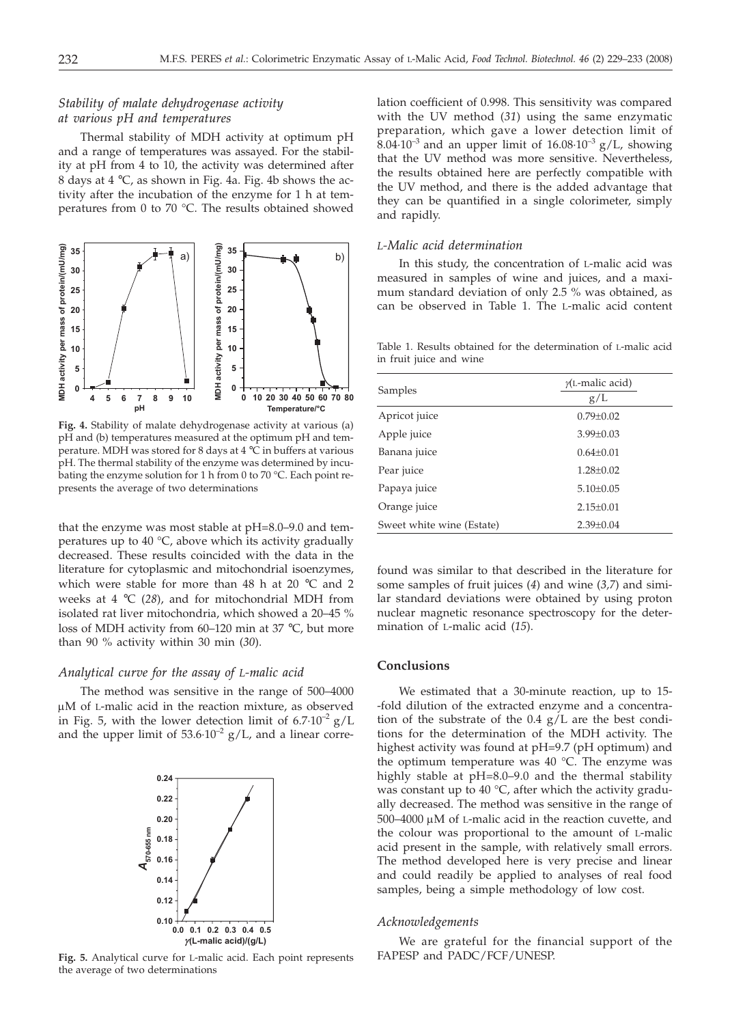# *Stability of malate dehydrogenase activity at various pH and temperatures*

Thermal stability of MDH activity at optimum pH and a range of temperatures was assayed. For the stability at pH from 4 to 10, the activity was determined after 8 days at 4 °C, as shown in Fig. 4a. Fig. 4b shows the activity after the incubation of the enzyme for 1 h at temperatures from 0 to 70 °C. The results obtained showed



**Fig. 4.** Stability of malate dehydrogenase activity at various (a) pH and (b) temperatures measured at the optimum pH and temperature. MDH was stored for 8 days at 4 °C in buffers at various pH. The thermal stability of the enzyme was determined by incubating the enzyme solution for 1 h from 0 to 70 °C. Each point represents the average of two determinations

that the enzyme was most stable at pH=8.0–9.0 and temperatures up to 40 °C, above which its activity gradually decreased. These results coincided with the data in the literature for cytoplasmic and mitochondrial isoenzymes, which were stable for more than 48 h at 20 °C and 2 weeks at 4 °C (*28*), and for mitochondrial MDH from isolated rat liver mitochondria, which showed a 20–45 % loss of MDH activity from 60–120 min at 37 °C, but more than 90 % activity within 30 min (*30*).

#### *Analytical curve for the assay of L-malic acid*

The method was sensitive in the range of 500–4000  $\mu$ M of L-malic acid in the reaction mixture, as observed in Fig. 5, with the lower detection limit of  $6.7 \cdot 10^{-2}$  g/L and the upper limit of  $53.6 \cdot 10^{-2}$  g/L, and a linear corre-



**Fig. 5.** Analytical curve for L-malic acid. Each point represents the average of two determinations

lation coefficient of 0.998. This sensitivity was compared with the UV method (*31*) using the same enzymatic preparation, which gave a lower detection limit of  $8.04 \cdot 10^{-3}$  and an upper limit of  $16.08 \cdot 10^{-3}$  g/L, showing that the UV method was more sensitive. Nevertheless, the results obtained here are perfectly compatible with the UV method, and there is the added advantage that they can be quantified in a single colorimeter, simply and rapidly.

## *L-Malic acid determination*

In this study, the concentration of L-malic acid was measured in samples of wine and juices, and a maximum standard deviation of only 2.5 % was obtained, as can be observed in Table 1. The L-malic acid content

Table 1. Results obtained for the determination of L-malic acid in fruit juice and wine

| Samples                   | $\gamma$ (L-malic acid)<br>g/L |
|---------------------------|--------------------------------|
| Apricot juice             | $0.79 \pm 0.02$                |
| Apple juice               | $3.99 + 0.03$                  |
| Banana juice              | $0.64 + 0.01$                  |
| Pear juice                | $1.28 + 0.02$                  |
| Papaya juice              | $5.10+0.05$                    |
| Orange juice              | $2.15+0.01$                    |
| Sweet white wine (Estate) | $2.39 \pm 0.04$                |

found was similar to that described in the literature for some samples of fruit juices (*4*) and wine (*3,7*) and similar standard deviations were obtained by using proton nuclear magnetic resonance spectroscopy for the determination of L-malic acid (*15*).

#### **Conclusions**

We estimated that a 30-minute reaction, up to 15- -fold dilution of the extracted enzyme and a concentration of the substrate of the 0.4 g/L are the best conditions for the determination of the MDH activity. The highest activity was found at pH=9.7 (pH optimum) and the optimum temperature was 40 °C. The enzyme was highly stable at pH=8.0–9.0 and the thermal stability was constant up to  $40 °C$ , after which the activity gradually decreased. The method was sensitive in the range of  $500-4000 \mu M$  of L-malic acid in the reaction cuvette, and the colour was proportional to the amount of L-malic acid present in the sample, with relatively small errors. The method developed here is very precise and linear and could readily be applied to analyses of real food samples, being a simple methodology of low cost.

#### *Acknowledgements*

We are grateful for the financial support of the FAPESP and PADC/FCF/UNESP.